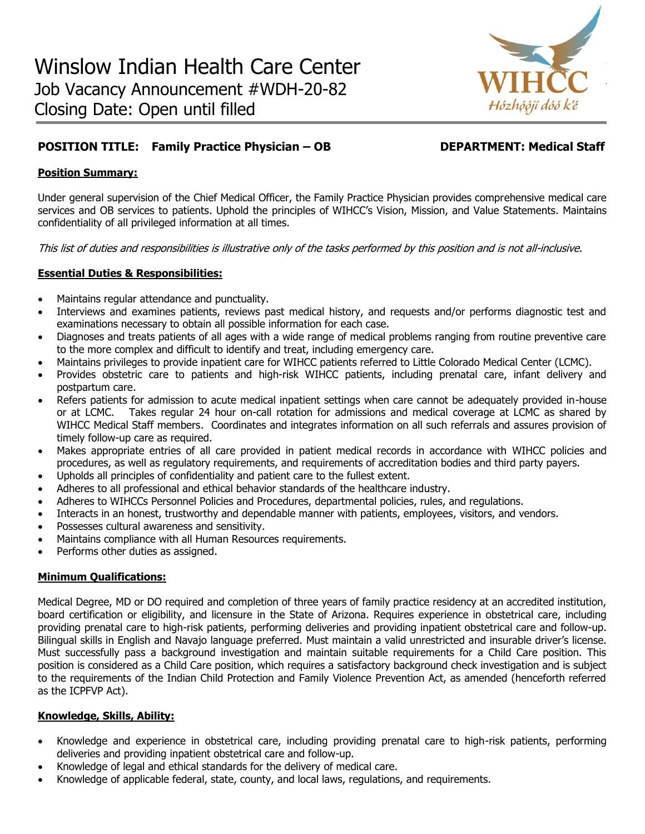

# **POSITION TITLE: Family Practice Physician – OB DEPARTMENT: Medical Staff**

### **Position Summary:**

Under general supervision of the Chief Medical Officer, the Family Practice Physician provides comprehensive medical care services and OB services to patients. Uphold the principles of WIHCC's Vision, Mission, and Value Statements. Maintains confidentiality of all privileged information at all times.

This list of duties and responsibilities is illustrative only of the tasks performed by this position and is not all-inclusive.

#### **Essential Duties & Responsibilities:**

- Maintains regular attendance and punctuality.
- Interviews and examines patients, reviews past medical history, and requests and/or performs diagnostic test and examinations necessary to obtain all possible information for each case.
- Diagnoses and treats patients of all ages with a wide range of medical problems ranging from routine preventive care to the more complex and difficult to identify and treat, including emergency care.
- Maintains privileges to provide inpatient care for WIHCC patients referred to Little Colorado Medical Center (LCMC).
- Provides obstetric care to patients and high-risk WIHCC patients, including prenatal care, infant delivery and postpartum care.
- Refers patients for admission to acute medical inpatient settings when care cannot be adequately provided in-house or at LCMC. Takes regular 24 hour on-call rotation for admissions and medical coverage at LCMC as shared by WIHCC Medical Staff members. Coordinates and integrates information on all such referrals and assures provision of timely follow-up care as required.
- Makes appropriate entries of all care provided in patient medical records in accordance with WIHCC policies and procedures, as well as regulatory requirements, and requirements of accreditation bodies and third party payers.
- Upholds all principles of confidentiality and patient care to the fullest extent.
- Adheres to all professional and ethical behavior standards of the healthcare industry.
- Adheres to WIHCCs Personnel Policies and Procedures, departmental policies, rules, and regulations.
- Interacts in an honest, trustworthy and dependable manner with patients, employees, visitors, and vendors.
- Possesses cultural awareness and sensitivity.
- Maintains compliance with all Human Resources requirements.
- Performs other duties as assigned.

#### **Minimum Qualifications:**

Medical Degree, MD or DO required and completion of three years of family practice residency at an accredited institution, board certification or eligibility, and licensure in the State of Arizona. Requires experience in obstetrical care, including providing prenatal care to high-risk patients, performing deliveries and providing inpatient obstetrical care and follow-up. Bilingual skills in English and Navajo language preferred. Must maintain a valid unrestricted and insurable driver's license. Must successfully pass a background investigation and maintain suitable requirements for a Child Care position. This position is considered as a Child Care position, which requires a satisfactory background check investigation and is subject to the requirements of the Indian Child Protection and Family Violence Prevention Act, as amended (henceforth referred as the ICPFVP Act).

#### **Knowledge, Skills, Ability:**

- Knowledge and experience in obstetrical care, including providing prenatal care to high-risk patients, performing deliveries and providing inpatient obstetrical care and follow-up.
- Knowledge of legal and ethical standards for the delivery of medical care.
- Knowledge of applicable federal, state, county, and local laws, regulations, and requirements.